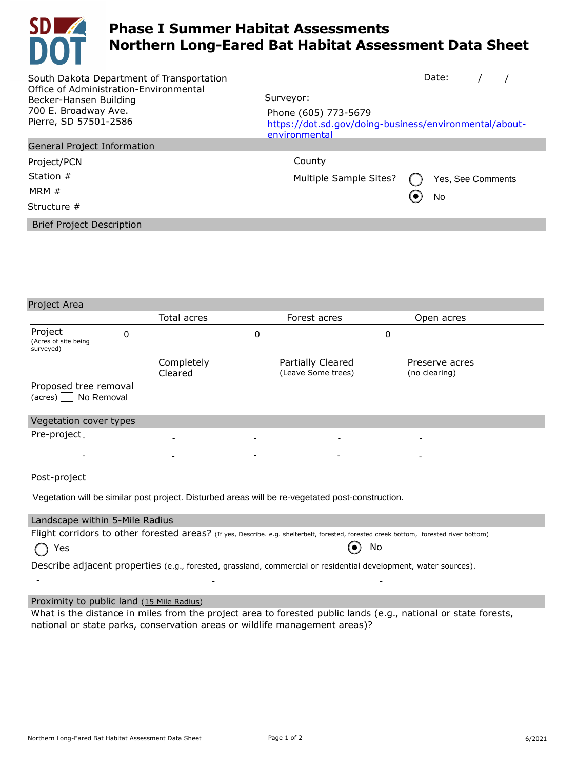

## **Phase I Summer Habitat Assessments Northern Long-Eared Bat Habitat Assessment Data Sheet**

| South Dakota Department of Transportation<br>Office of Administration-Environmental | Date:                                                                                           |  |  |  |  |  |  |  |
|-------------------------------------------------------------------------------------|-------------------------------------------------------------------------------------------------|--|--|--|--|--|--|--|
| Becker-Hansen Building                                                              | Surveyor:                                                                                       |  |  |  |  |  |  |  |
| 700 E. Broadway Ave.<br>Pierre, SD 57501-2586                                       | Phone (605) 773-5679<br>https://dot.sd.gov/doing-business/environmental/about-<br>environmental |  |  |  |  |  |  |  |
| General Project Information                                                         |                                                                                                 |  |  |  |  |  |  |  |
| Project/PCN                                                                         | County                                                                                          |  |  |  |  |  |  |  |
| Station $#$                                                                         | Multiple Sample Sites?<br>Yes, See Comments                                                     |  |  |  |  |  |  |  |
| MRM $#$                                                                             | No                                                                                              |  |  |  |  |  |  |  |
| Structure $#$                                                                       |                                                                                                 |  |  |  |  |  |  |  |
| <b>Brief Project Description</b>                                                    |                                                                                                 |  |  |  |  |  |  |  |
|                                                                                     |                                                                                                 |  |  |  |  |  |  |  |
|                                                                                     |                                                                                                 |  |  |  |  |  |  |  |
|                                                                                     |                                                                                                 |  |  |  |  |  |  |  |

| Project Area                                                                                                                           |   |                       |   |                                         |             |                                 |  |  |  |
|----------------------------------------------------------------------------------------------------------------------------------------|---|-----------------------|---|-----------------------------------------|-------------|---------------------------------|--|--|--|
|                                                                                                                                        |   | Total acres           |   | Forest acres                            |             | Open acres                      |  |  |  |
| Project<br>(Acres of site being<br>surveyed)                                                                                           | 0 |                       | 0 |                                         | $\mathbf 0$ |                                 |  |  |  |
|                                                                                                                                        |   | Completely<br>Cleared |   | Partially Cleared<br>(Leave Some trees) |             | Preserve acres<br>(no clearing) |  |  |  |
| Proposed tree removal<br>$(\text{acres})$ No Removal                                                                                   |   |                       |   |                                         |             |                                 |  |  |  |
| Vegetation cover types                                                                                                                 |   |                       |   |                                         |             |                                 |  |  |  |
| Pre-project.                                                                                                                           |   |                       |   |                                         |             |                                 |  |  |  |
|                                                                                                                                        |   |                       |   |                                         |             |                                 |  |  |  |
| Post-project                                                                                                                           |   |                       |   |                                         |             |                                 |  |  |  |
| Vegetation will be similar post project. Disturbed areas will be re-vegetated post-construction.                                       |   |                       |   |                                         |             |                                 |  |  |  |
| Landscape within 5-Mile Radius                                                                                                         |   |                       |   |                                         |             |                                 |  |  |  |
| Flight corridors to other forested areas? (If yes, Describe. e.g. shelterbelt, forested, forested creek bottom, forested river bottom) |   |                       |   |                                         |             |                                 |  |  |  |
| Yes                                                                                                                                    |   |                       |   |                                         | No          |                                 |  |  |  |
| Describe adjacent properties (e.g., forested, grassland, commercial or residential development, water sources).                        |   |                       |   |                                         |             |                                 |  |  |  |

## Proximity to public land (15 Mile Radius)

What is the distance in miles from the project area to forested public lands (e.g., national or state forests, national or state parks, conservation areas or wildlife management areas)?

- - -